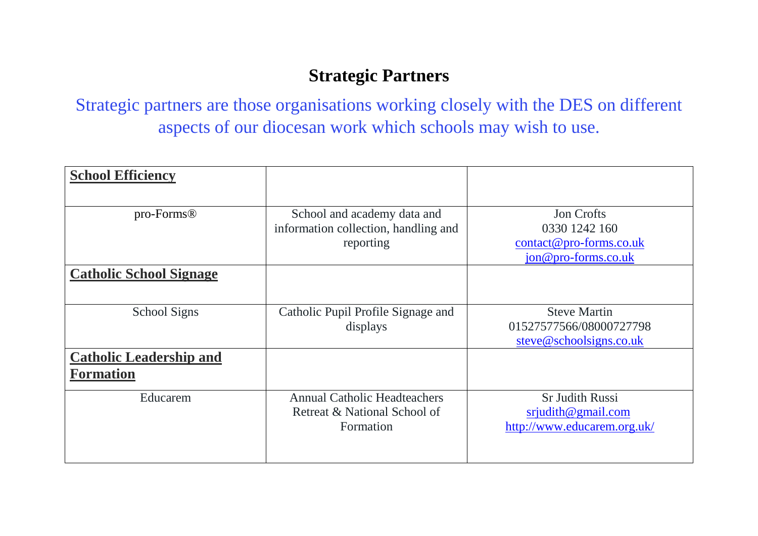## **Strategic Partners**

Strategic partners are those organisations working closely with the DES on different aspects of our diocesan work which schools may wish to use.

| <b>School Efficiency</b>                           |                                      |                                           |
|----------------------------------------------------|--------------------------------------|-------------------------------------------|
|                                                    |                                      |                                           |
| pro-Forms®                                         | School and academy data and          | <b>Jon Crofts</b>                         |
|                                                    | information collection, handling and | 0330 1242 160                             |
|                                                    | reporting                            | $\frac{\text{contact@pro-forms.co.uk}}{}$ |
|                                                    |                                      | $jon@pro-forms.co.uk$                     |
| <b>Catholic School Signage</b>                     |                                      |                                           |
| <b>School Signs</b>                                | Catholic Pupil Profile Signage and   | <b>Steve Martin</b>                       |
|                                                    | displays                             | 01527577566/08000727798                   |
|                                                    |                                      | steve@schoolsigns.co.uk                   |
| <b>Catholic Leadership and</b><br><b>Formation</b> |                                      |                                           |
| Educarem                                           | <b>Annual Catholic Headteachers</b>  | <b>Sr Judith Russi</b>                    |
|                                                    | Retreat & National School of         | srjudith@gmail.com                        |
|                                                    | Formation                            | http://www.educarem.org.uk/               |
|                                                    |                                      |                                           |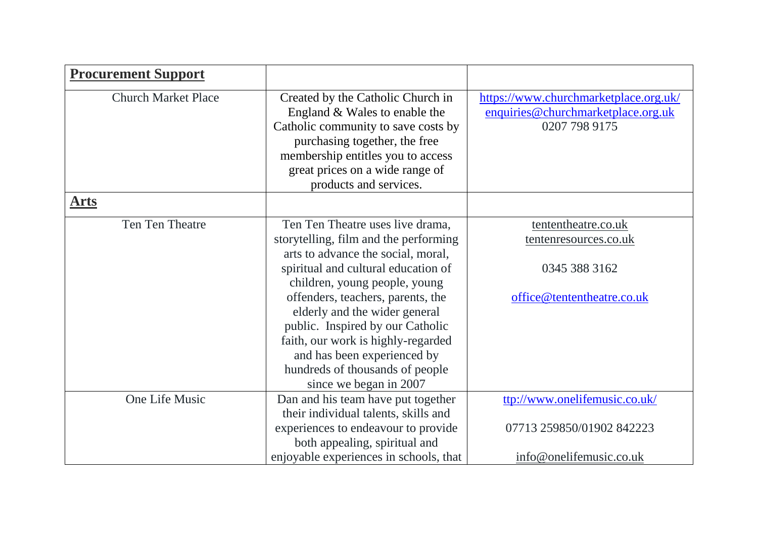| <b>Procurement Support</b> |                                                                                                                                                                                                                                                                                                                                                                                                                                     |                                                                                              |
|----------------------------|-------------------------------------------------------------------------------------------------------------------------------------------------------------------------------------------------------------------------------------------------------------------------------------------------------------------------------------------------------------------------------------------------------------------------------------|----------------------------------------------------------------------------------------------|
| <b>Church Market Place</b> | Created by the Catholic Church in<br>England & Wales to enable the<br>Catholic community to save costs by<br>purchasing together, the free<br>membership entitles you to access<br>great prices on a wide range of<br>products and services.                                                                                                                                                                                        | https://www.churchmarketplace.org.uk/<br>enquiries@churchmarketplace.org.uk<br>0207 798 9175 |
| <u>Arts</u>                |                                                                                                                                                                                                                                                                                                                                                                                                                                     |                                                                                              |
| Ten Ten Theatre            | Ten Ten Theatre uses live drama,<br>storytelling, film and the performing<br>arts to advance the social, moral,<br>spiritual and cultural education of<br>children, young people, young<br>offenders, teachers, parents, the<br>elderly and the wider general<br>public. Inspired by our Catholic<br>faith, our work is highly-regarded<br>and has been experienced by<br>hundreds of thousands of people<br>since we began in 2007 | tententheatre.co.uk<br>tentenresources.co.uk<br>0345 388 3162<br>office@tententheatre.co.uk  |
| One Life Music             | Dan and his team have put together<br>their individual talents, skills and<br>experiences to endeavour to provide<br>both appealing, spiritual and<br>enjoyable experiences in schools, that                                                                                                                                                                                                                                        | ttp://www.onelifemusic.co.uk/<br>07713 259850/01902 842223<br>info@onelifemusic.co.uk        |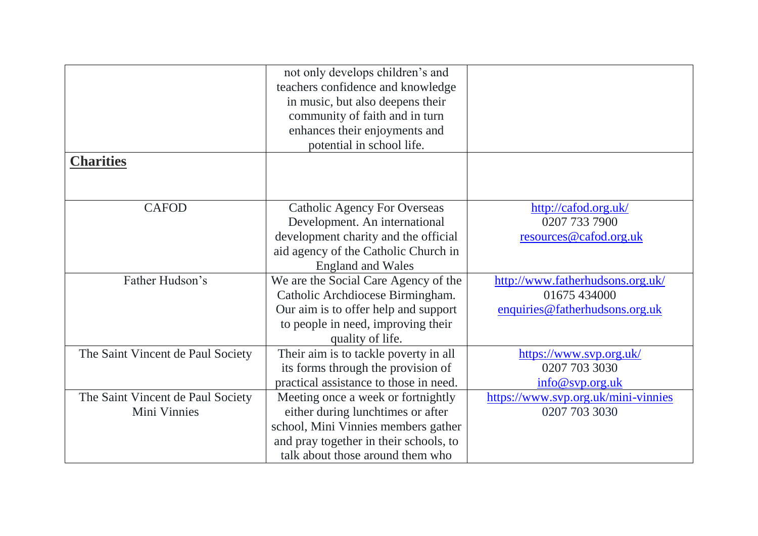|                                   | not only develops children's and       |                                     |
|-----------------------------------|----------------------------------------|-------------------------------------|
|                                   | teachers confidence and knowledge      |                                     |
|                                   | in music, but also deepens their       |                                     |
|                                   | community of faith and in turn         |                                     |
|                                   | enhances their enjoyments and          |                                     |
|                                   | potential in school life.              |                                     |
| <b>Charities</b>                  |                                        |                                     |
|                                   |                                        |                                     |
|                                   |                                        |                                     |
| <b>CAFOD</b>                      | <b>Catholic Agency For Overseas</b>    | http://cafod.org.uk/                |
|                                   | Development. An international          | 0207 733 7900                       |
|                                   | development charity and the official   |                                     |
|                                   |                                        | resources@cafod.org.uk              |
|                                   | aid agency of the Catholic Church in   |                                     |
|                                   | <b>England and Wales</b>               |                                     |
| Father Hudson's                   | We are the Social Care Agency of the   | http://www.fatherhudsons.org.uk/    |
|                                   | Catholic Archdiocese Birmingham.       | 01675 434000                        |
|                                   | Our aim is to offer help and support   | enquiries@fatherhudsons.org.uk      |
|                                   | to people in need, improving their     |                                     |
|                                   | quality of life.                       |                                     |
| The Saint Vincent de Paul Society | Their aim is to tackle poverty in all  | https://www.svp.org.uk/             |
|                                   | its forms through the provision of     | 0207 703 3030                       |
|                                   | practical assistance to those in need. | info@svp.org.uk                     |
| The Saint Vincent de Paul Society | Meeting once a week or fortnightly     | https://www.svp.org.uk/mini-vinnies |
| Mini Vinnies                      | either during lunchtimes or after      | 0207 703 3030                       |
|                                   | school, Mini Vinnies members gather    |                                     |
|                                   | and pray together in their schools, to |                                     |
|                                   | talk about those around them who       |                                     |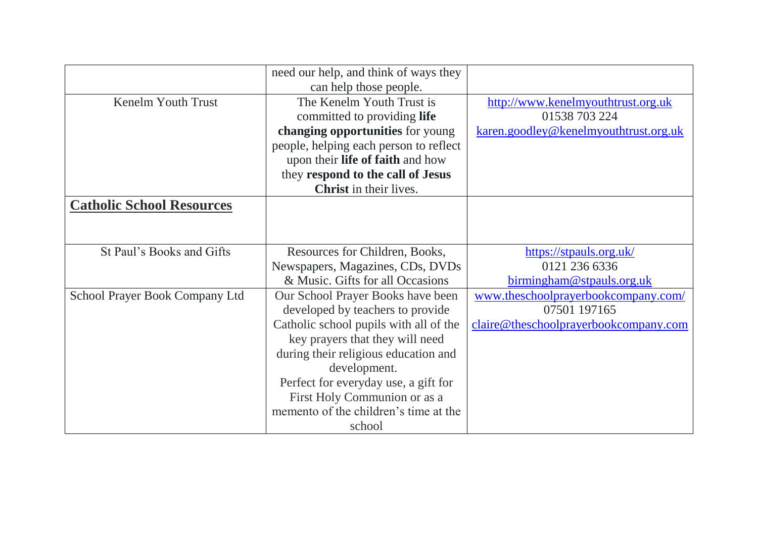|                                  | need our help, and think of ways they  |                                       |
|----------------------------------|----------------------------------------|---------------------------------------|
|                                  | can help those people.                 |                                       |
| Kenelm Youth Trust               | The Kenelm Youth Trust is              | http://www.kenelmyouthtrust.org.uk    |
|                                  | committed to providing life            | 01538 703 224                         |
|                                  | changing opportunities for young       | karen.goodley@kenelmyouthtrust.org.uk |
|                                  | people, helping each person to reflect |                                       |
|                                  | upon their life of faith and how       |                                       |
|                                  | they respond to the call of Jesus      |                                       |
|                                  | <b>Christ</b> in their lives.          |                                       |
| <b>Catholic School Resources</b> |                                        |                                       |
|                                  |                                        |                                       |
|                                  |                                        |                                       |
| St Paul's Books and Gifts        | Resources for Children, Books,         | https://stpauls.org.uk/               |
|                                  | Newspapers, Magazines, CDs, DVDs       | 0121 236 6336                         |
|                                  | & Music. Gifts for all Occasions       | birmingham@stpauls.org.uk             |
| School Prayer Book Company Ltd   | Our School Prayer Books have been      | www.theschoolprayerbookcompany.com/   |
|                                  | developed by teachers to provide       | 07501 197165                          |
|                                  | Catholic school pupils with all of the | claire@theschoolprayerbookcompany.com |
|                                  | key prayers that they will need        |                                       |
|                                  | during their religious education and   |                                       |
|                                  | development.                           |                                       |
|                                  | Perfect for everyday use, a gift for   |                                       |
|                                  | First Holy Communion or as a           |                                       |
|                                  | memento of the children's time at the  |                                       |
|                                  | school                                 |                                       |